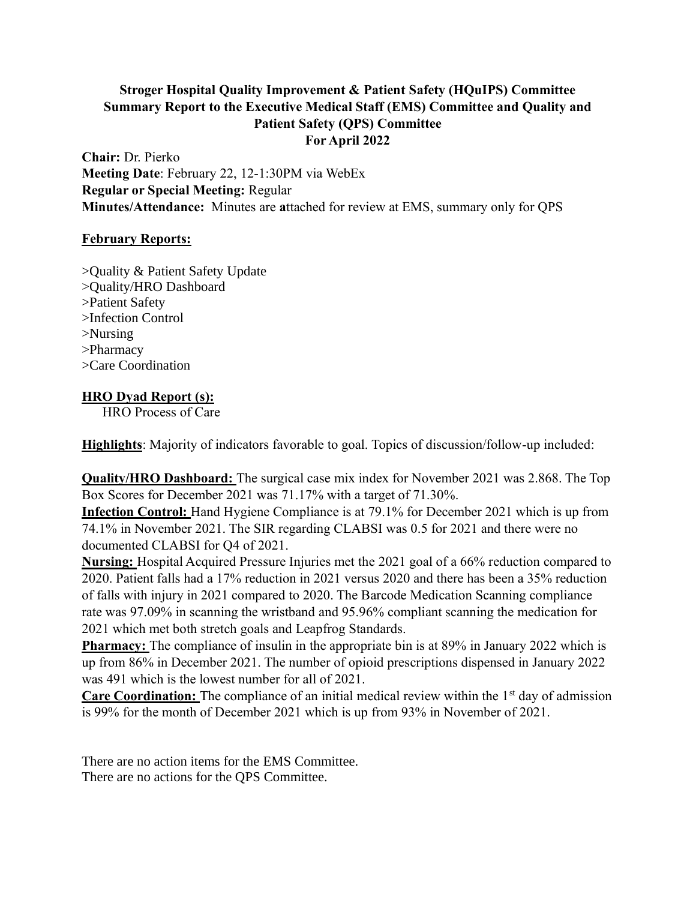# **Stroger Hospital Quality Improvement & Patient Safety (HQuIPS) Committee Summary Report to the Executive Medical Staff (EMS) Committee and Quality and Patient Safety (QPS) Committee For April 2022**

**Chair:** Dr. Pierko **Meeting Date**: February 22, 12-1:30PM via WebEx **Regular or Special Meeting:** Regular **Minutes/Attendance:** Minutes are **a**ttached for review at EMS, summary only for QPS

## **February Reports:**

>Quality & Patient Safety Update >Quality/HRO Dashboard >Patient Safety >Infection Control >Nursing >Pharmacy >Care Coordination

# **HRO Dyad Report (s):**

HRO Process of Care

**Highlights**: Majority of indicators favorable to goal. Topics of discussion/follow-up included:

**Quality/HRO Dashboard:** The surgical case mix index for November 2021 was 2.868. The Top Box Scores for December 2021 was 71.17% with a target of 71.30%.

**Infection Control:** Hand Hygiene Compliance is at 79.1% for December 2021 which is up from 74.1% in November 2021. The SIR regarding CLABSI was 0.5 for 2021 and there were no documented CLABSI for Q4 of 2021.

**Nursing:** Hospital Acquired Pressure Injuries met the 2021 goal of a 66% reduction compared to 2020. Patient falls had a 17% reduction in 2021 versus 2020 and there has been a 35% reduction of falls with injury in 2021 compared to 2020. The Barcode Medication Scanning compliance rate was 97.09% in scanning the wristband and 95.96% compliant scanning the medication for 2021 which met both stretch goals and Leapfrog Standards.

**Pharmacy:** The compliance of insulin in the appropriate bin is at 89% in January 2022 which is up from 86% in December 2021. The number of opioid prescriptions dispensed in January 2022 was 491 which is the lowest number for all of 2021.

**Care Coordination:** The compliance of an initial medical review within the 1<sup>st</sup> day of admission is 99% for the month of December 2021 which is up from 93% in November of 2021.

There are no action items for the EMS Committee. There are no actions for the QPS Committee.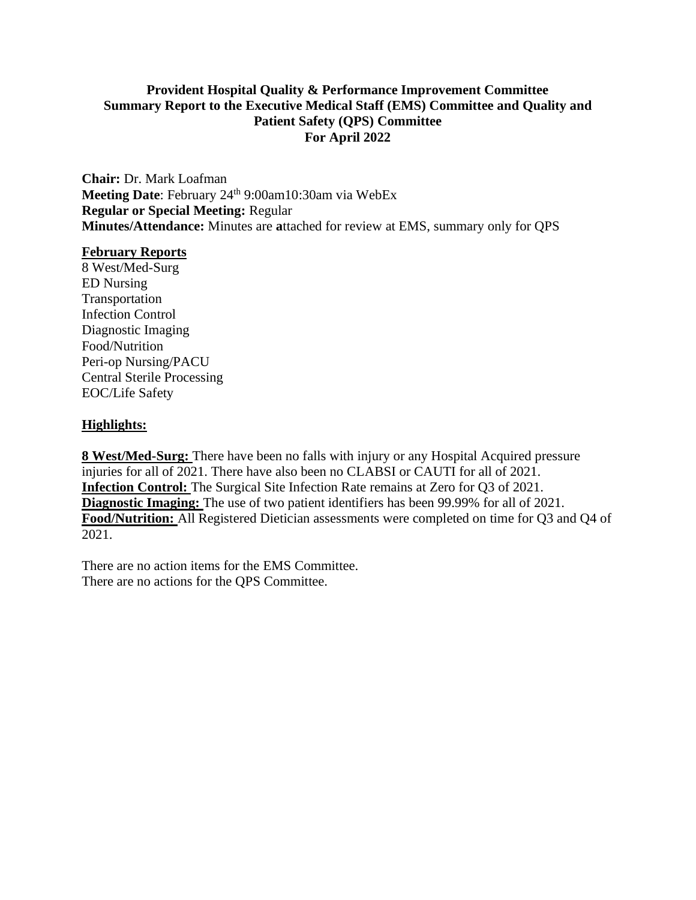## **Provident Hospital Quality & Performance Improvement Committee Summary Report to the Executive Medical Staff (EMS) Committee and Quality and Patient Safety (QPS) Committee For April 2022**

**Chair:** Dr. Mark Loafman Meeting Date: February 24<sup>th 9:00am10:30am via WebEx</sup> **Regular or Special Meeting:** Regular **Minutes/Attendance:** Minutes are **a**ttached for review at EMS, summary only for QPS

#### **February Reports**

8 West/Med-Surg ED Nursing Transportation Infection Control Diagnostic Imaging Food/Nutrition Peri-op Nursing/PACU Central Sterile Processing EOC/Life Safety

### **Highlights:**

**8 West/Med-Surg:** There have been no falls with injury or any Hospital Acquired pressure injuries for all of 2021. There have also been no CLABSI or CAUTI for all of 2021. **Infection Control:** The Surgical Site Infection Rate remains at Zero for Q3 of 2021. **Diagnostic Imaging:** The use of two patient identifiers has been 99.99% for all of 2021. **Food/Nutrition:** All Registered Dietician assessments were completed on time for Q3 and Q4 of 2021.

There are no action items for the EMS Committee. There are no actions for the QPS Committee.